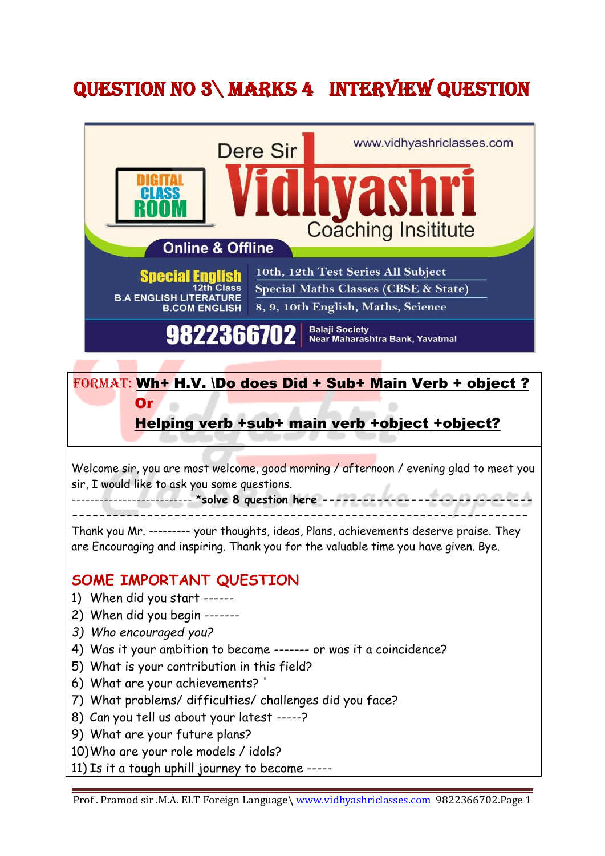# Question no 3\ marks 4 INTERVIEW QUESTION



### $FORMAT:$  Wh+ H.V. \Do does Did + Sub+ Main Verb + object ?

## Helping verb +sub+ main verb +object +object?

Welcome sir, you are most welcome, good morning / afternoon / evening glad to meet you sir, I would like to ask you some questions.

-------------------------- \***solve 8 question here -------------------------------**

**-------------------------------------------------------------------** Thank you Mr. --------- your thoughts, ideas, Plans, achievements deserve praise. They are Encouraging and inspiring. Thank you for the valuable time you have given. Bye.

### **SOME IMPORTANT QUESTION**

1) When did you start ------

Or

- 2) When did you begin -------
- *3) Who encouraged you?*
- 4) Was it your ambition to become ------- or was it a coincidence?
- 5) What is your contribution in this field?
- 6) What are your achievements? '
- 7) What problems/ difficulties/ challenges did you face?
- 8) Can you tell us about your latest -----?
- 9) What are your future plans?
- 10)Who are your role models / idols?
- 11) Is it a tough uphill journey to become -----

Prof. Pramod sir .M.A. ELT Foreign Language\ [www.vidhyashriclasses.com](http://www.vidhyashriclasses.com/) 9822366702.Page 1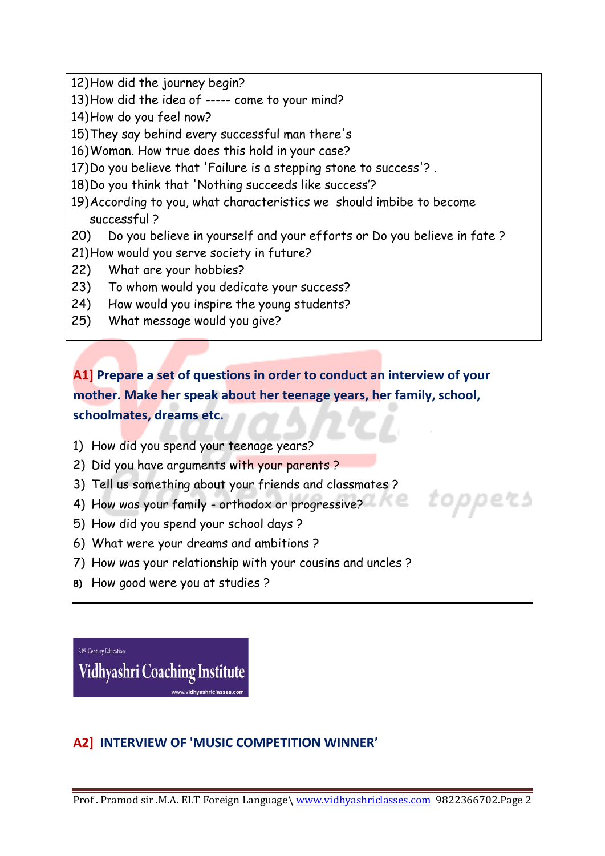12)How did the journey begin?

13)How did the idea of ----- come to your mind?

14)How do you feel now?

15)They say behind every successful man there's

16)Woman. How true does this hold in your case?

17)Do you believe that 'Failure is a stepping stone to success'? .

18)Do you think that 'Nothing succeeds like success'?

- 19)According to you, what characteristics we should imbibe to become successful ?
- 20) Do you believe in yourself and your efforts or Do you believe in fate ?
- 21)How would you serve society in future?
- 22) What are your hobbies?
- 23) To whom would you dedicate your success?
- 24) How would you inspire the young students?
- 25) What message would you give?

**A1] Prepare a set of questions in order to conduct an interview of your mother. Make her speak about her teenage years, her family, school, schoolmates, dreams etc.**

*toppers* 

- 1) How did you spend your teenage years?
- 2) Did you have arguments with your parents ?
- 3) Tell us something about your friends and classmates ?
- 4) How was your family orthodox or progressive?
- 5) How did you spend your school days ?
- 6) What were your dreams and ambitions ?
- 7) How was your relationship with your cousins and uncles ?
- **8)** How good were you at studies ?

21<sup>st</sup> Century Education Vidhyashri Coaching Institute

### **A2] INTERVIEW OF 'MUSIC COMPETITION WINNER'**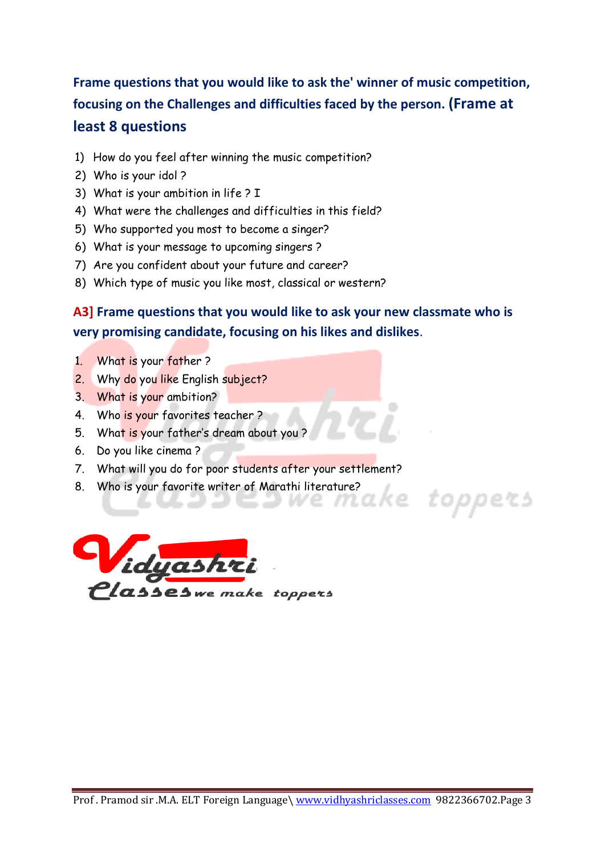## **Frame questions that you would like to ask the' winner of music competition, focusing on the Challenges and difficulties faced by the person. (Frame at least 8 questions**

- 1) How do you feel after winning the music competition?
- 2) Who is your idol ?
- 3) What is your ambition in life ? I
- 4) What were the challenges and difficulties in this field?
- 5) Who supported you most to become a singer?
- 6) What is your message to upcoming singers ?
- 7) Are you confident about your future and career?
- 8) Which type of music you like most, classical or western?

### **A3] Frame questions that you would like to ask your new classmate who is very promising candidate, focusing on his likes and dislikes**.

ke toppers

- 1. What is your father ?
- 2. Why do you like English subject?
- 3. What is your ambition?
- 4. Who is your favorites teacher?
- 5. What is your father's dream about you ?
- 6. Do you like cinema ?
- 7. What will you do for poor students after your settlement?
- 8. Who is your favorite writer of Marathi literature?

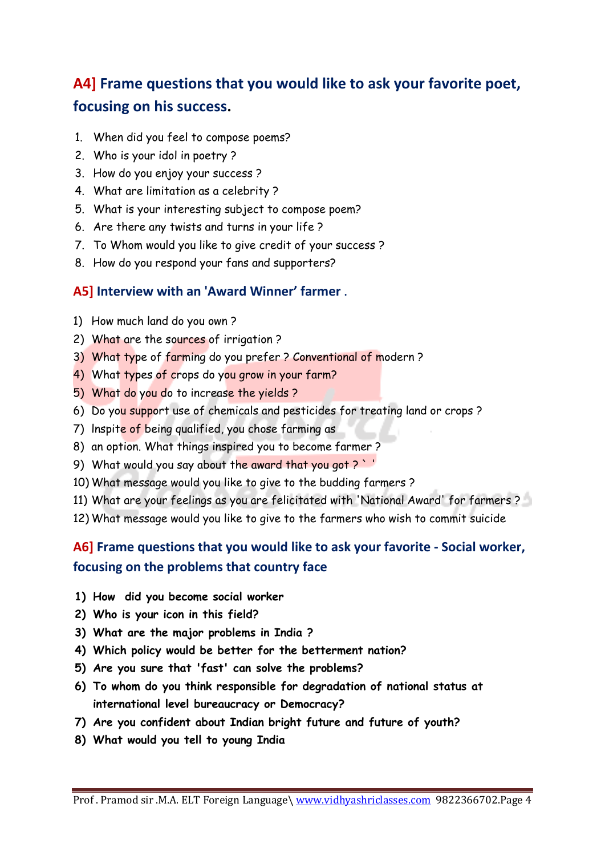## **A4] Frame questions that you would like to ask your favorite poet, focusing on his success.**

- 1. When did you feel to compose poems?
- 2. Who is your idol in poetry ?
- 3. How do you enjoy your success ?
- 4. What are limitation as a celebrity ?
- 5. What is your interesting subject to compose poem?
- 6. Are there any twists and turns in your life ?
- 7. To Whom would you like to give credit of your success ?
- 8. How do you respond your fans and supporters?

#### **A5] Interview with an 'Award Winner' farmer .**

- 1) How much land do you own ?
- 2) What are the sources of irrigation ?
- 3) What type of farming do you prefer ? Conventional of modern ?
- 4) What types of crops do you grow in your farm?
- 5) What do you do to increase the yields ?
- 6) Do you support use of chemicals and pesticides for treating land or crops ?
- 7) lnspite of being qualified, you chose farming as
- 8) an option. What things inspired you to become farmer ?
- 9) What would you say about the award that you got ? ` '
- 10) What message would you like to give to the budding farmers ?
- 11) What are your feelings as you are felicitated with 'National Award' for farmers ?
- 12) What message would you like to give to the farmers who wish to commit suicide

### **A6] Frame questions that you would like to ask your favorite - Social worker, focusing on the problems that country face**

- **1) How did you become social worker**
- **2) Who is your icon in this field?**
- **3) What are the major problems in India ?**
- **4) Which policy would be better for the betterment nation?**
- **5) Are you sure that 'fast' can solve the problems?**
- **6) To whom do you think responsible for degradation of national status at international level bureaucracy or Democracy?**
- **7) Are you confident about Indian bright future and future of youth?**
- **8) What would you tell to young India**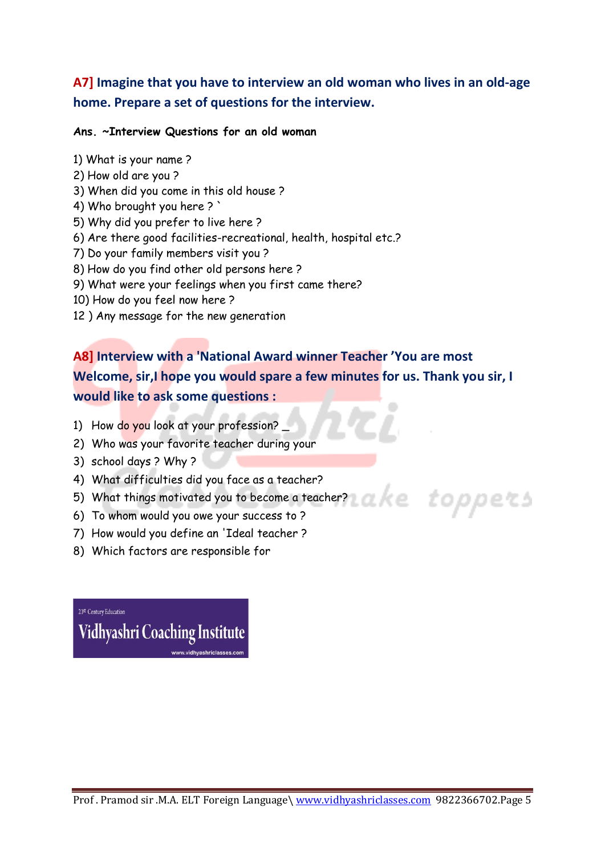### **A7] Imagine that you have to interview an old woman who lives in an old-age home. Prepare a set of questions for the interview.**

#### **Ans. ~Interview Questions for an old woman**

- 1) What is your name ?
- 2) How old are you ?
- 3) When did you come in this old house ?
- 4) Who brought you here ? `
- 5) Why did you prefer to live here ?
- 6) Are there good facilities-recreational, health, hospital etc.?
- 7) Do your family members visit you ?
- 8) How do you find other old persons here ?
- 9) What were your feelings when you first came there?
- 10) How do you feel now here ?
- 12 ) Any message for the new generation

### **A8] Interview with a 'National Award winner Teacher 'You are most Welcome, sir,I hope you would spare a few minutes for us. Thank you sir, I would like to ask some questions :**

- 1) How do you look at your profession?
- 2) Who was your favorite teacher during your
- 3) school days ? Why ?
- 4) What difficulties did you face as a teacher?
- 5) What things motivated you to become a teacher? (2) A C C C C C C C C C
- 6) To whom would you owe your success to ?
- 7) How would you define an 'Ideal teacher ?
- 8) Which factors are responsible for

21st Century Education Vidhyashri Coaching Institute www.vidhyashriclasses.con